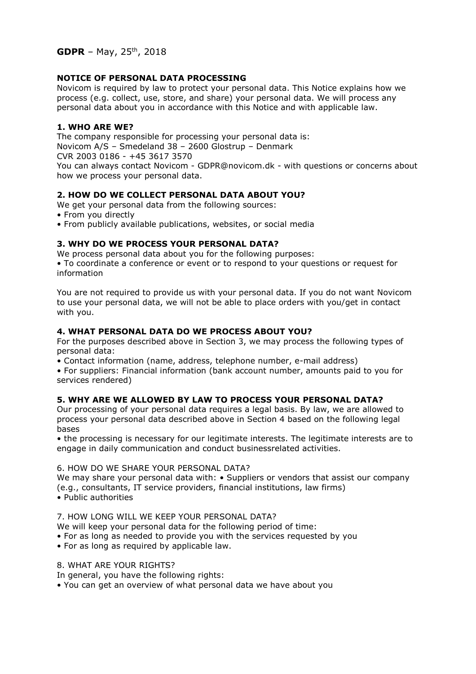# **NOTICE OF PERSONAL DATA PROCESSING**

Novicom is required by law to protect your personal data. This Notice explains how we process (e.g. collect, use, store, and share) your personal data. We will process any personal data about you in accordance with this Notice and with applicable law.

# **1. WHO ARE WE?**

The company responsible for processing your personal data is: Novicom A/S – Smedeland 38 – 2600 Glostrup – Denmark CVR 2003 0186 - +45 3617 3570 You can always contact Novicom - GDPR@novicom.dk - with questions or concerns about how we process your personal data.

### **2. HOW DO WE COLLECT PERSONAL DATA ABOUT YOU?**

We get your personal data from the following sources:

- From you directly
- From publicly available publications, websites, or social media

### **3. WHY DO WE PROCESS YOUR PERSONAL DATA?**

We process personal data about you for the following purposes: • To coordinate a conference or event or to respond to your questions or request for information

You are not required to provide us with your personal data. If you do not want Novicom to use your personal data, we will not be able to place orders with you/get in contact with you.

### **4. WHAT PERSONAL DATA DO WE PROCESS ABOUT YOU?**

For the purposes described above in Section 3, we may process the following types of personal data:

• Contact information (name, address, telephone number, e-mail address)

• For suppliers: Financial information (bank account number, amounts paid to you for services rendered)

#### **5. WHY ARE WE ALLOWED BY LAW TO PROCESS YOUR PERSONAL DATA?**

Our processing of your personal data requires a legal basis. By law, we are allowed to process your personal data described above in Section 4 based on the following legal bases

• the processing is necessary for our legitimate interests. The legitimate interests are to engage in daily communication and conduct businessrelated activities.

# 6. HOW DO WE SHARE YOUR PERSONAL DATA?

We may share your personal data with: • Suppliers or vendors that assist our company (e.g., consultants, IT service providers, financial institutions, law firms) • Public authorities

7. HOW LONG WILL WE KEEP YOUR PERSONAL DATA?

We will keep your personal data for the following period of time:

- For as long as needed to provide you with the services requested by you
- For as long as required by applicable law.

#### 8. WHAT ARE YOUR RIGHTS?

In general, you have the following rights:

• You can get an overview of what personal data we have about you